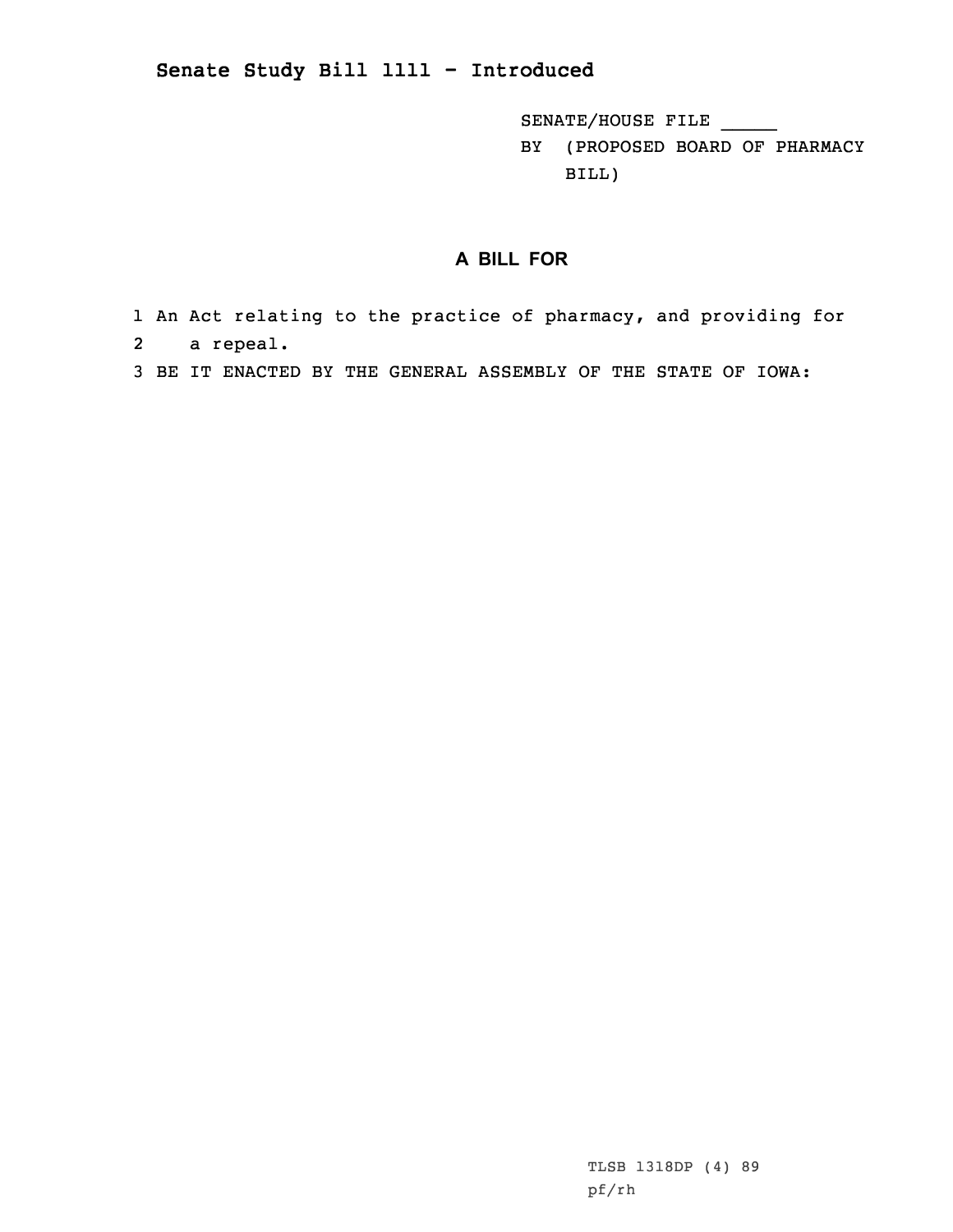## **Senate Study Bill 1111 - Introduced**

SENATE/HOUSE FILE \_\_\_\_\_ BY (PROPOSED BOARD OF PHARMACY BILL)

## **A BILL FOR**

- 1 An Act relating to the practice of pharmacy, and providing for 2 <sup>a</sup> repeal.
- 3 BE IT ENACTED BY THE GENERAL ASSEMBLY OF THE STATE OF IOWA:

TLSB 1318DP (4) 89 pf/rh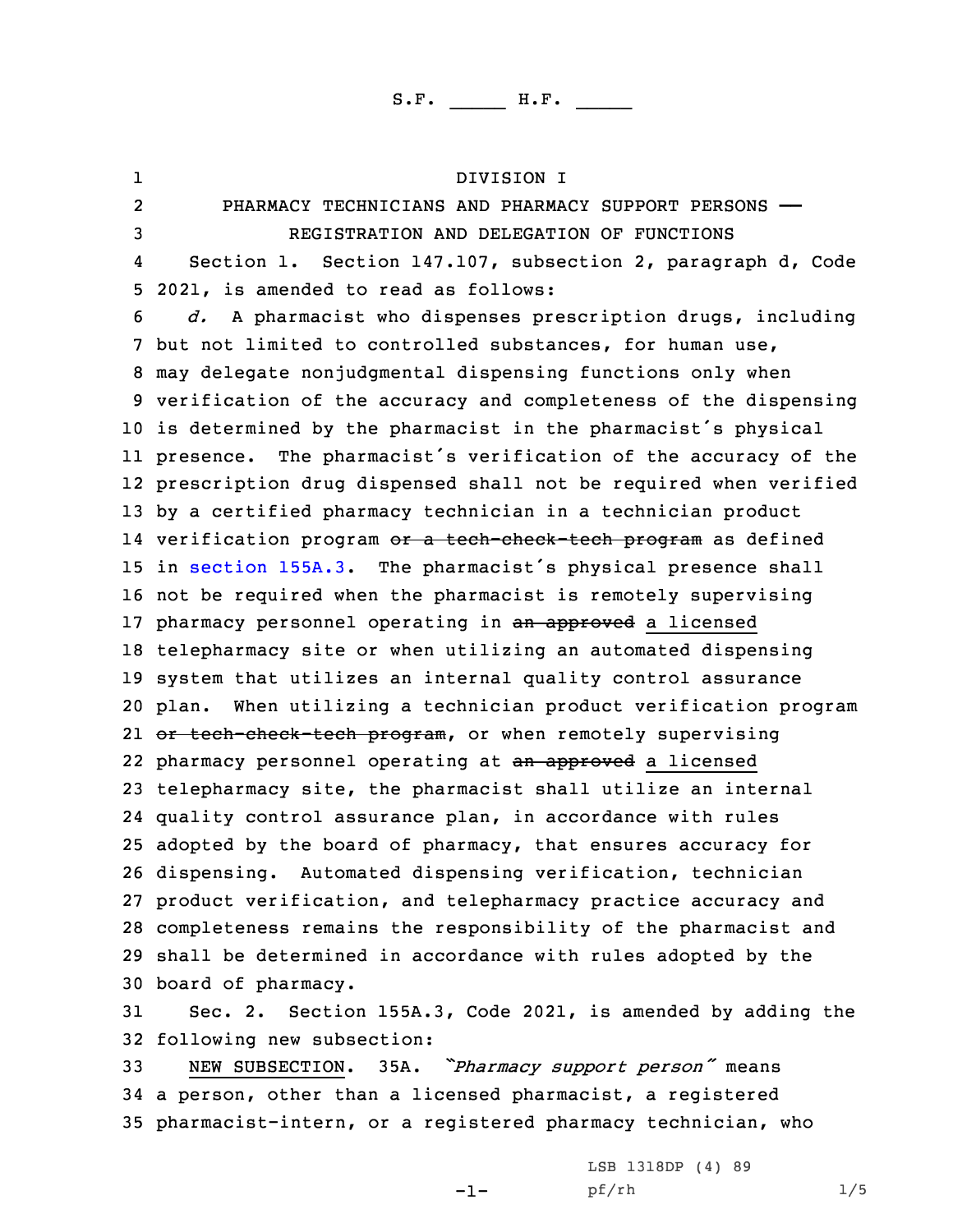1 DIVISION I 2PHARMACY TECHNICIANS AND PHARMACY SUPPORT PERSONS - REGISTRATION AND DELEGATION OF FUNCTIONS 4 Section 1. Section 147.107, subsection 2, paragraph d, Code 2021, is amended to read as follows: *d.* <sup>A</sup> pharmacist who dispenses prescription drugs, including but not limited to controlled substances, for human use, may delegate nonjudgmental dispensing functions only when verification of the accuracy and completeness of the dispensing is determined by the pharmacist in the pharmacist's physical presence. The pharmacist's verification of the accuracy of the prescription drug dispensed shall not be required when verified by <sup>a</sup> certified pharmacy technician in <sup>a</sup> technician product 14 verification program <del>or a tech-check-tech program</del> as defined in [section](https://www.legis.iowa.gov/docs/code/2021/155A.3.pdf) 155A.3. The pharmacist's physical presence shall not be required when the pharmacist is remotely supervising 17 pharmacy personnel operating in an approved a licensed telepharmacy site or when utilizing an automated dispensing system that utilizes an internal quality control assurance plan. When utilizing <sup>a</sup> technician product verification program 21 <del>or tech-check-tech program</del>, or when remotely supervising 22 pharmacy personnel operating at an approved a licensed telepharmacy site, the pharmacist shall utilize an internal quality control assurance plan, in accordance with rules adopted by the board of pharmacy, that ensures accuracy for dispensing. Automated dispensing verification, technician product verification, and telepharmacy practice accuracy and completeness remains the responsibility of the pharmacist and shall be determined in accordance with rules adopted by the board of pharmacy.

31 Sec. 2. Section 155A.3, Code 2021, is amended by adding the 32 following new subsection:

<sup>33</sup> NEW SUBSECTION. 35A. *"Pharmacy support person"* means 34 <sup>a</sup> person, other than <sup>a</sup> licensed pharmacist, <sup>a</sup> registered 35 pharmacist-intern, or <sup>a</sup> registered pharmacy technician, who

-1-

LSB 1318DP (4) 89 pf/rh 1/5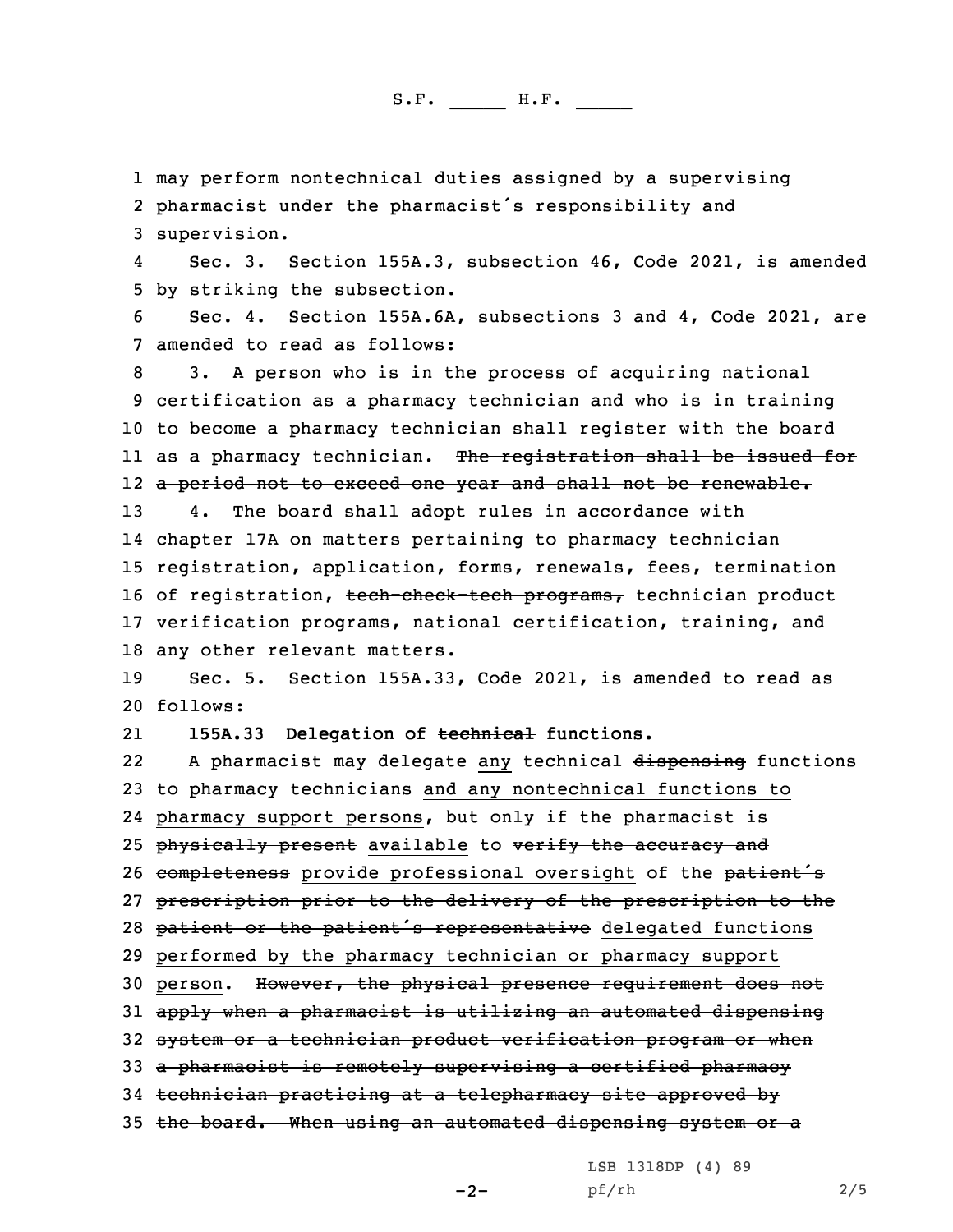1 may perform nontechnical duties assigned by <sup>a</sup> supervising 2 pharmacist under the pharmacist's responsibility and 3 supervision.

4 Sec. 3. Section 155A.3, subsection 46, Code 2021, is amended 5 by striking the subsection.

6 Sec. 4. Section 155A.6A, subsections 3 and 4, Code 2021, are 7 amended to read as follows:

 3. <sup>A</sup> person who is in the process of acquiring national certification as <sup>a</sup> pharmacy technician and who is in training to become <sup>a</sup> pharmacy technician shall register with the board ll as a pharmacy technician. <del>The registration shall be issued for</del> <sup>a</sup> period not to exceed one year and shall not be renewable. 4. The board shall adopt rules in accordance with chapter 17A on matters pertaining to pharmacy technician registration, application, forms, renewals, fees, termination 16 of registration, tech-check-tech programs, technician product verification programs, national certification, training, and any other relevant matters.

19 Sec. 5. Section 155A.33, Code 2021, is amended to read as

20 follows:

21**155A.33 Delegation of technical functions.**

22 <sup>A</sup> pharmacist may delegate any technical dispensing functions 23 to pharmacy technicians and any nontechnical functions to 24 pharmacy support persons, but only if the pharmacist is 25 physically present available to verify the accuracy and 26 completeness provide professional oversight of the patient's 27 prescription prior to the delivery of the prescription to the 28 patient or the patient's representative delegated functions 29 performed by the pharmacy technician or pharmacy support 30 person. However, the physical presence requirement does not 31 apply when <sup>a</sup> pharmacist is utilizing an automated dispensing 32 system or a technician product verification program or when 33 <sup>a</sup> pharmacist is remotely supervising <sup>a</sup> certified pharmacy 34 technician practicing at <sup>a</sup> telepharmacy site approved by 35 the board. When using an automated dispensing system or a

LSB 1318DP (4) 89

-2-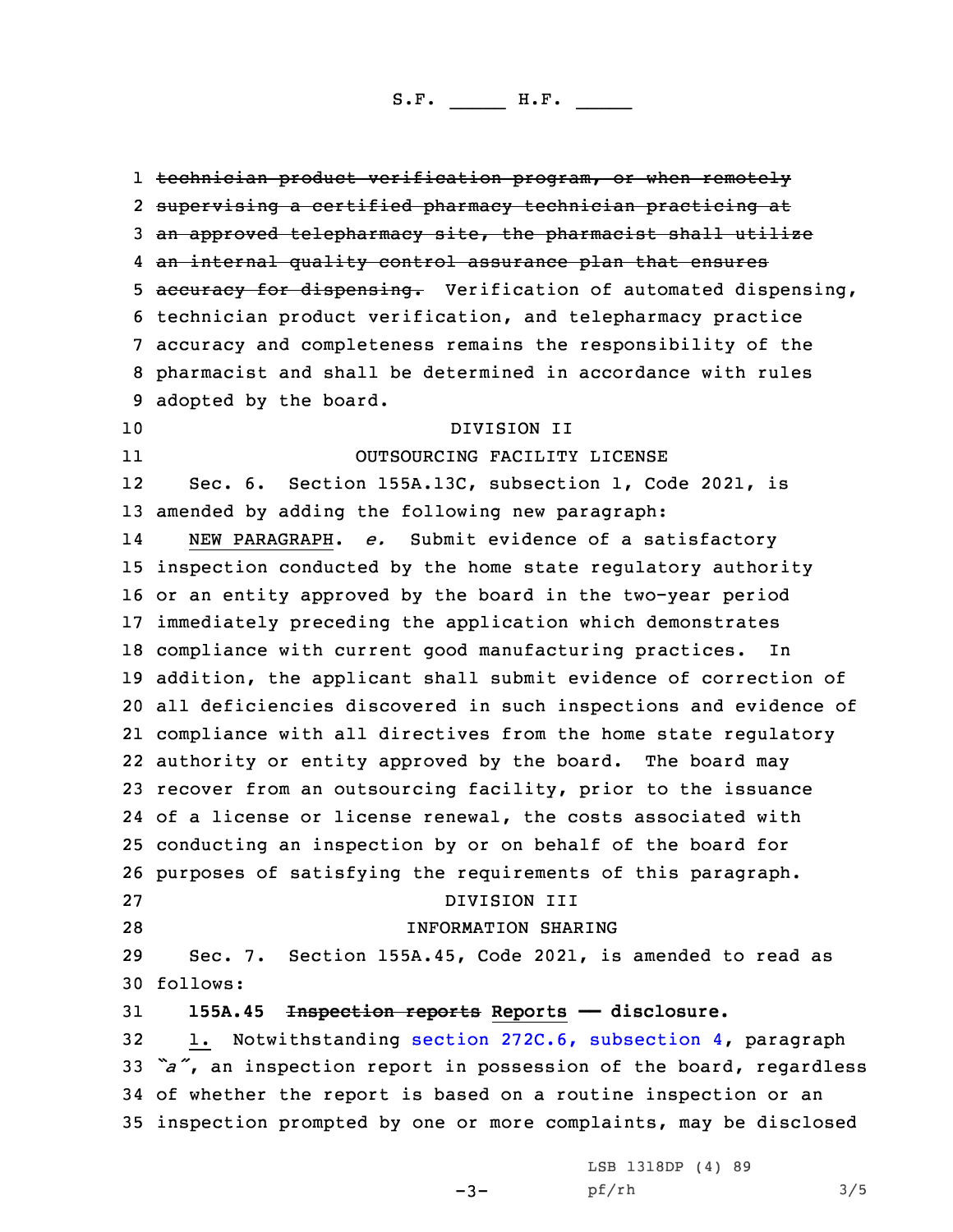technician product verification program, or when remotely supervising <sup>a</sup> certified pharmacy technician practicing at an approved telepharmacy site, the pharmacist shall utilize an internal quality control assurance plan that ensures 5 accuracy for dispensing. Verification of automated dispensing, technician product verification, and telepharmacy practice accuracy and completeness remains the responsibility of the pharmacist and shall be determined in accordance with rules adopted by the board. DIVISION II 11 OUTSOURCING FACILITY LICENSE 12 Sec. 6. Section 155A.13C, subsection 1, Code 2021, is amended by adding the following new paragraph: 14 NEW PARAGRAPH. *e.* Submit evidence of <sup>a</sup> satisfactory inspection conducted by the home state regulatory authority or an entity approved by the board in the two-year period immediately preceding the application which demonstrates compliance with current good manufacturing practices. In addition, the applicant shall submit evidence of correction of all deficiencies discovered in such inspections and evidence of compliance with all directives from the home state regulatory authority or entity approved by the board. The board may recover from an outsourcing facility, prior to the issuance of <sup>a</sup> license or license renewal, the costs associated with conducting an inspection by or on behalf of the board for purposes of satisfying the requirements of this paragraph. DIVISION III INFORMATION SHARING Sec. 7. Section 155A.45, Code 2021, is amended to read as 30 follows: **155A.45 Inspection reports Reports —— disclosure.** 1. Notwithstanding section 272C.6, [subsection](https://www.legis.iowa.gov/docs/code/2021/272C.6.pdf) 4, paragraph *"a"*, an inspection report in possession of the board, regardless of whether the report is based on <sup>a</sup> routine inspection or an inspection prompted by one or more complaints, may be disclosed

 $-3-$ 

LSB 1318DP (4) 89 pf/rh 3/5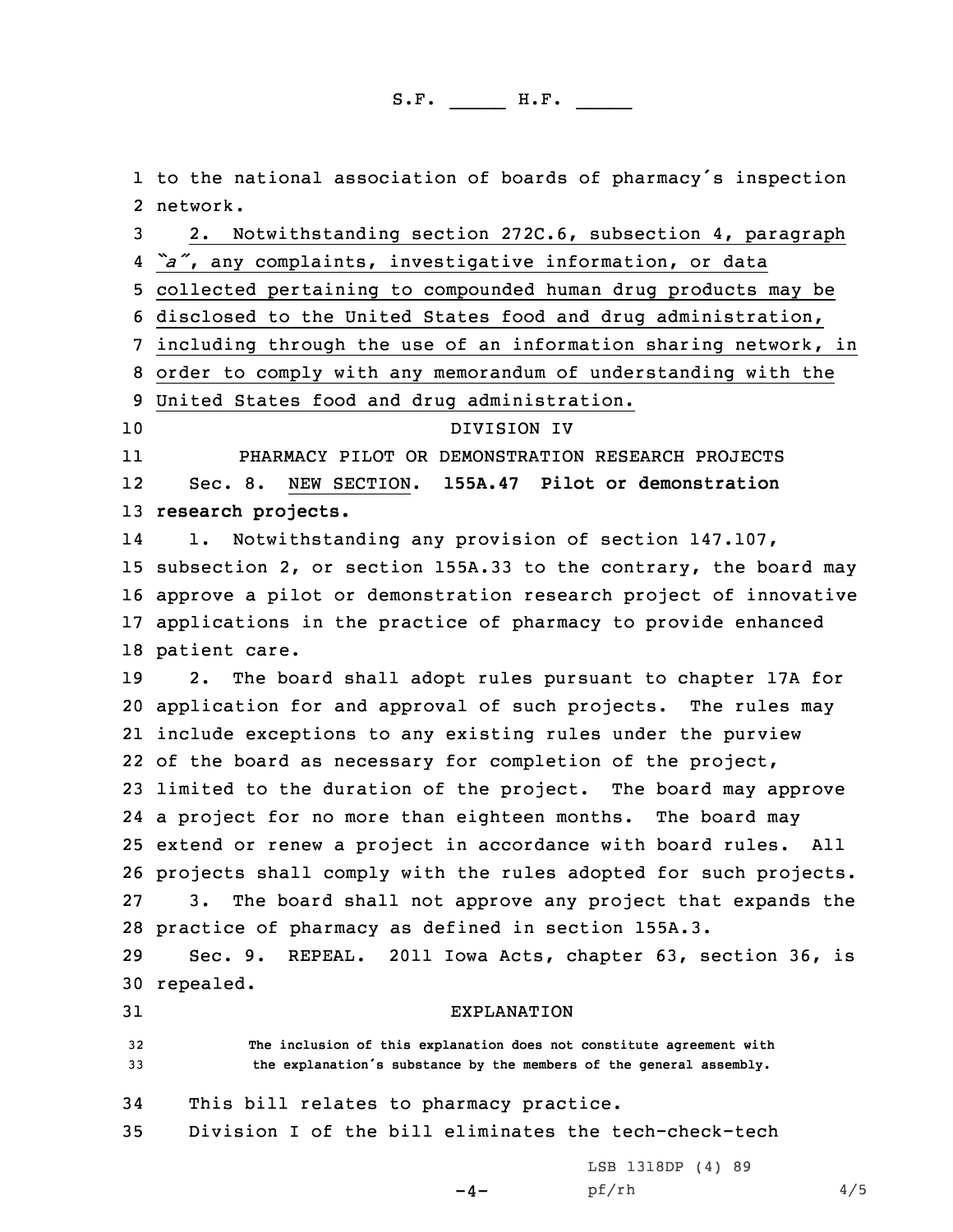1 to the national association of boards of pharmacy's inspection 2 network.

 2. Notwithstanding section 272C.6, subsection 4, paragraph *"a"*, any complaints, investigative information, or data collected pertaining to compounded human drug products may be disclosed to the United States food and drug administration, including through the use of an information sharing network, in order to comply with any memorandum of understanding with the United States food and drug administration. DIVISION IV 11 PHARMACY PILOT OR DEMONSTRATION RESEARCH PROJECTS 12 Sec. 8. NEW SECTION. **155A.47 Pilot or demonstration research projects.** 14 1. Notwithstanding any provision of section 147.107, subsection 2, or section 155A.33 to the contrary, the board may approve <sup>a</sup> pilot or demonstration research project of innovative applications in the practice of pharmacy to provide enhanced patient care. 2. The board shall adopt rules pursuant to chapter 17A for application for and approval of such projects. The rules may include exceptions to any existing rules under the purview 22 of the board as necessary for completion of the project, limited to the duration of the project. The board may approve <sup>a</sup> project for no more than eighteen months. The board may extend or renew <sup>a</sup> project in accordance with board rules. All projects shall comply with the rules adopted for such projects. 3. The board shall not approve any project that expands the practice of pharmacy as defined in section 155A.3. Sec. 9. REPEAL. 2011 Iowa Acts, chapter 63, section 36, is repealed. EXPLANATION **The inclusion of this explanation does not constitute agreement with**

<sup>33</sup> **the explanation's substance by the members of the general assembly.**

- 34 This bill relates to pharmacy practice.
- 35 Division I of the bill eliminates the tech-check-tech

 $-4-$ 

LSB 1318DP (4) 89 pf/rh 4/5